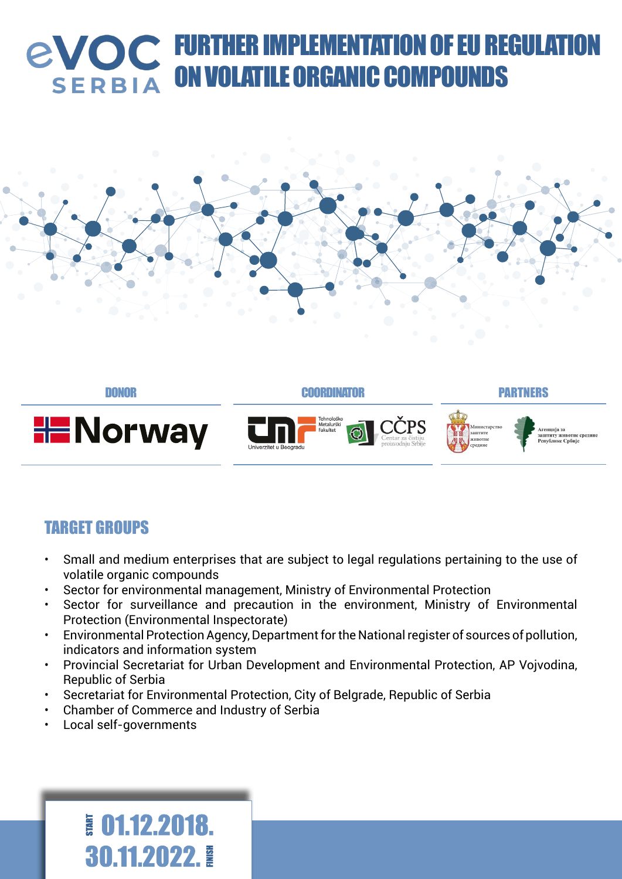# FURTHER IMPLEMENTATION OF EU REGULATION ON VOLATILE ORGANIC COMPOUNDS





#### TARGET GROUPS

- Small and medium enterprises that are subject to legal regulations pertaining to the use of volatile organic compounds
- Sector for environmental management, Ministry of Environmental Protection
- Sector for surveillance and precaution in the environment, Ministry of Environmental Protection (Environmental Inspectorate)
- Environmental Protection Agency, Department for the National register of sources of pollution, indicators and information system
- Provincial Secretariat for Urban Development and Environmental Protection, AP Vojvodina, Republic of Serbia
- Secretariat for Environmental Protection, City of Belgrade, Republic of Serbia
- Chamber of Commerce and Industry of Serbia
- Local self-governments